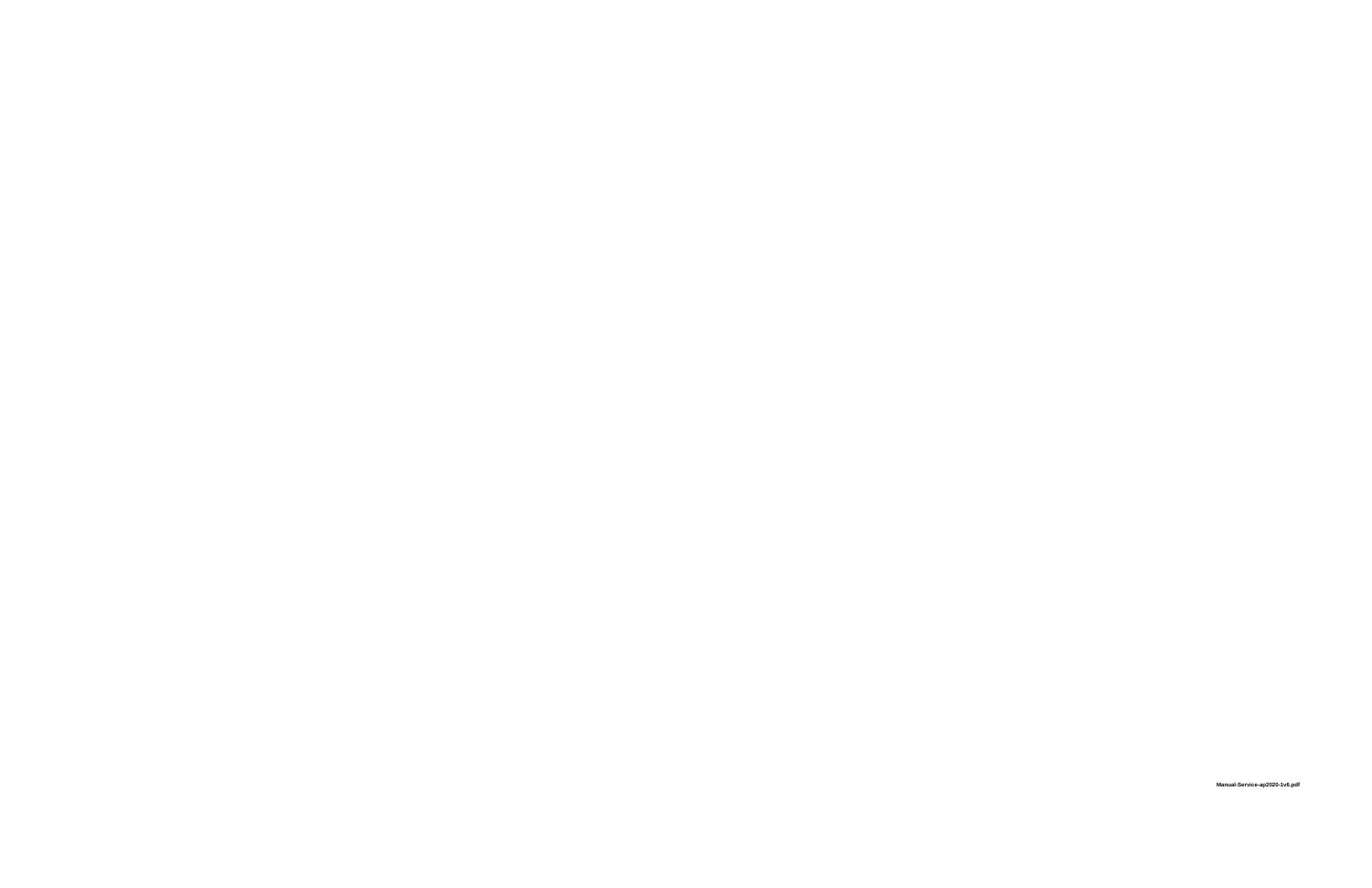Manual-Service-ap2020-1v6.pdf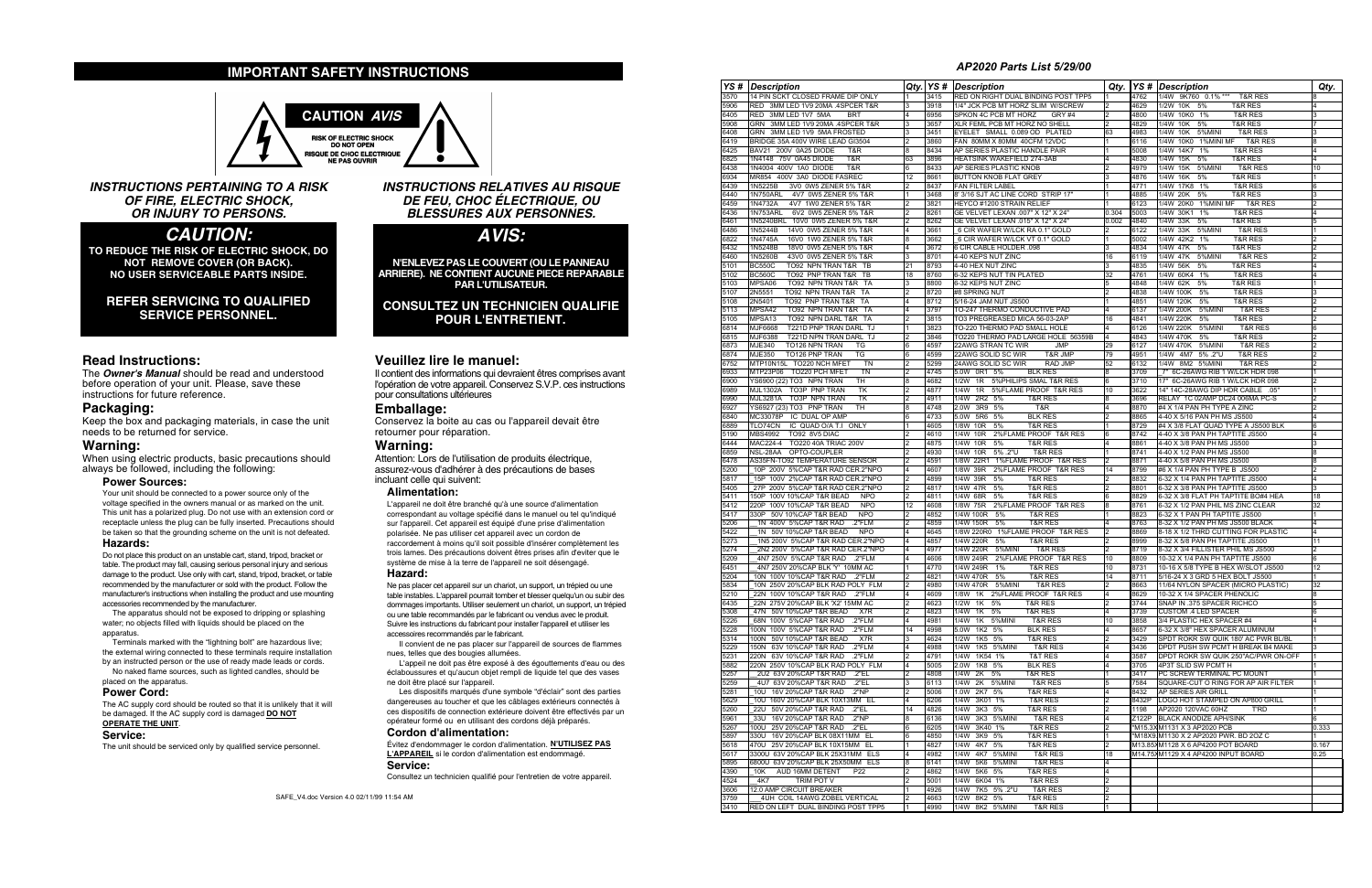**INSTRUCTIONS PERTAINING TO A RISK OF FIRE, ELECTRIC SHOCK, OR INJURY TO PERSONS.**

# **CAUTION:**

**TO REDUCE THE RISK OF ELECTRIC SHOCK, DO NOT REMOVE COVER (OR BACK). NO USER SERVICEABLE PARTS INSIDE.**

## **REFER SERVICING TO QUALIFIED SERVICE PERSONNEL.**

#### **Read Instructions:**

The **Owner's Manual** should be read and understood before operation of your unit. Please, save these instructions for future reference.

### **Packaging:**

Keep the box and packaging materials, in case the unit needs to be returned for service.

#### **Warning:**

When using electric products, basic precautions should always be followed, including the following:

#### **Power Sources:**

The apparatus should not be exposed to dripping or splashing water; no objects filled with liquids should be placed on the apparatus.

Your unit should be connected to a power source only of the voltage specified in the owners manual or as marked on the unit. This unit has a polarized plug. Do not use with an extension cord or receptacle unless the plug can be fully inserted. Precautions should be taken so that the grounding scheme on the unit is not defeated.

#### **Hazards:**

Do not place this product on an unstable cart, stand, tripod, bracket or table. The product may fall, causing serious personal injury and serious damage to the product. Use only with cart, stand, tripod, bracket, or table recommended by the manufacturer or sold with the product. Follow the manufacturer's instructions when installing the product and use mounting accessories recommended by the manufacturer.

Attention: Lors de l'utilisation de produits électrique, assurez-vous d'adhérer à des précautions de bases incluant celle qui suivent:

Terminals marked with the "lightning bolt" are hazardous live; the external wiring connected to these terminals require installation by an instructed person or the use of ready made leads or cords.

No naked flame sources, such as lighted candles, should be placed on the apparatus.

#### **Power Cord:**

The AC supply cord should be routed so that it is unlikely that it will be damaged. If the AC supply cord is damaged **DO NOT OPERATE THE UNIT**.

#### **Service:**

The unit should be serviced only by qualified service personnel.

**INSTRUCTIONS RELATIVES AU RISQUE DE FEU, CHOC ÉLECTRIQUE, OU BLESSURES AUX PERSONNES.**

**AVIS:**

**N'ENLEVEZ PAS LE COUVERT (OU LE PANNEAU ARRIERE). NE CONTIENT AUCUNE PIECE REPARABLE PAR L'UTILISATEUR.**

**CONSULTEZ UN TECHNICIEN QUALIFIE POUR L'ENTRETIENT.**

#### **Veuillez lire le manuel:**

Il contient des informations qui devraient êtres comprises avant l'opération de votre appareil. Conservez S.V.P. ces instructions pour consultations ultérieures

# **Emballage:**

Conservez la boite au cas ou l'appareil devait être retourner pour réparation.

#### **Warning:**

#### **Alimentation:**

L'appareil ne doit être branché qu'à une source d'alimentation correspondant au voltage spécifié dans le manuel ou tel qu'indiqué sur l'appareil. Cet appareil est équipé d'une prise d'alimentation polarisée. Ne pas utiliser cet appareil avec un cordon de raccordement à moins qu'il soit possible d'insérer complètement les trois lames. Des précautions doivent êtres prises afin d'eviter que le système de mise à la terre de l'appareil ne soit désengagé. **Hazard:**

Ne pas placer cet appareil sur un chariot, un support, un trépied ou une table instables. L'appareil pourrait tomber et blesser quelqu'un ou subir des dommages importants. Utiliser seulement un chariot, un support, un trépied ou une table recommandés par le fabricant ou vendus avec le produit. Suivre les instructions du fabricant pour installer l'appareil et utiliser les accessoires recommandés par le fabricant.

Il convient de ne pas placer sur l'appareil de sources de flammes nues, telles que des bougies allumées.

L'appeil ne doit pas être exposé à des égouttements d'eau ou des éclaboussures et qu'aucun objet rempli de liquide tel que des vases ne doit être placé sur l'appareil.

Les dispositifs marqués d'une symbole "d'éclair" sont des parties dangereuses au toucher et que les câblages extérieurs connectés à ces dispositifs de connection extérieure doivent être effectivés par un opérateur formé ou en utilisant des cordons déjà préparés.

#### **Cordon d'alimentation:**

Évitez d'endommager le cordon d'alimentation. **N'UTILISEZ PAS L'APPAREIL** si le cordon d'alimentation est endommagé. **Service:**

Consultez un technicien qualifié pour l'entretien de votre appareil.

# **IMPORTANT SAFETY INSTRUCTIONS**



SAFE\_V4.doc Version 4.0 02/11/99 11:54 AM

### *AP2020 Parts List 5/29/00*

| YS#          | <b>Description</b>                                                       | Qtv.                                      | YS#          | <b>Description</b>                                                           | Qtv.                             | YS#          | <b>Description</b>                                                            | Qty.                             |
|--------------|--------------------------------------------------------------------------|-------------------------------------------|--------------|------------------------------------------------------------------------------|----------------------------------|--------------|-------------------------------------------------------------------------------|----------------------------------|
| 3570         | 14 PIN SCKT CLOSED FRAME DIP ONLY                                        |                                           | 3415         | RED ON RIGHT DUAL BINDING POST TPP5                                          |                                  | 4762         | 1/4W 9K760 0.1% ***<br><b>T&amp;R RES</b>                                     |                                  |
| 5906         | RED 3MM LED 1V9 20MA .4SPCER T&R                                         | 3                                         | 3918         | 1/4" JCK PCB MT HORZ SLIM W/SCREW                                            | $\overline{2}$                   | 4629         | 1/2W 10K 5%<br><b>T&amp;R RES</b>                                             | 4                                |
| 6405         | RED 3MM LED 1V7 5MA<br><b>BRT</b><br>GRN 3MM LED 1V9 20MA .4SPCER T&R    | 4                                         | 6956<br>3657 | SPKON 4C PCB MT HORZ<br>GRY #4<br>XLR FEML PCB MT HORZ NO SHELL              | $\overline{2}$<br>$\overline{2}$ | 4800<br>4829 | 1/4W 10K0 1%<br><b>T&amp;R RES</b><br>1/4W 10K                                | 3<br>$\overline{7}$              |
| 5908<br>6408 | GRN 3MM LED 1V9 5MA FROSTED                                              | 3<br>3                                    | 3451         | EYELET SMALL 0.089 OD PLATED                                                 | 63                               | 4983         | 5%<br><b>T&amp;R RES</b><br>5%MINI<br><b>T&amp;R RES</b><br>1/4W 10K          | 3                                |
| 6419         | BRIDGE 35A 400V WIRE LEAD GI3504                                         | $\overline{2}$                            | 3860         | FAN 80MM X 80MM 40CFM 12VDC                                                  | $\mathbf{1}$                     | 6116         | 1/4W 10K0<br>1%MINI MF<br><b>T&amp;R RES</b>                                  | 8                                |
| 6425         | BAV21 200V 0A25 DIODE<br>T&R                                             | 8                                         | 8434         | AP SERIES PLASTIC HANDLE PAIR                                                | 1                                | 5008         | 1/4W 14K7<br>1%<br><b>T&amp;R RES</b>                                         | 4                                |
| 6825         | 1N4148 75V 0A45 DIODE<br>T&R                                             | 63                                        | 3896         | HEATSINK WAKEFIELD 274-3AB                                                   | 4                                | 4830         | 1/4W 15K<br>5%<br><b>T&amp;R RES</b>                                          | 4                                |
| 6438         | 1N4004 400V 1A0 DIODE<br>T&R                                             | 6                                         | 8433         | AP SERIES PLASTIC KNOB                                                       | $\overline{2}$                   | 4979         | 1/4W 15K<br>5%MINI<br><b>T&amp;R RES</b>                                      | 10                               |
| 6934         | MR854 400V 3A0 DIODE FASREC                                              | 12                                        | 8661         | <b>BUTTON KNOB FLAT GREY</b>                                                 | 3                                | 4876         | 5%<br>1/4W 16K<br><b>T&amp;R RES</b>                                          |                                  |
| 6439<br>6440 | 1N5225B<br>3V0 0W5 ZENER 5% T&R<br>1N750ARL<br>4V7 0W5 ZENER 5% T&R      | $\overline{2}$<br>$\overline{1}$          | 8437<br>3468 | <b>FAN FILTER LABEL</b><br>8' 3/16 SJT AC LINE CORD STRIP 17"                | $\mathbf{1}$                     | 4771<br>4885 | 1/4W 17K8<br>1%<br><b>T&amp;R RES</b><br>1/4W 20K<br>5%<br><b>T&amp;R RES</b> | 6<br>3                           |
| 6459         | 1N4732A<br>4V7 1W0 ZENER 5% T&R                                          | $\overline{2}$                            | 3821         | HEYCO #1200 STRAIN RELIEF                                                    | $\mathbf{1}$                     | 6123         | 1%MINI MF<br>1/4W 20K0<br>T&R RES                                             | $\overline{2}$                   |
| 6436         | 1N753ARL<br>6V2 0W5 ZENER 5% T&R                                         | $\overline{c}$                            | 8261         | GE VELVET LEXAN .007" X 12" X 24"                                            | 0.304                            | 5003         | 1/4W 30K1<br>1%<br><b>T&amp;R RES</b>                                         | 4                                |
| 6461         | 1N5240BRL 10V0 0W5 ZENER 5% T&R                                          | $\overline{c}$                            | 8262         | GE VELVET LEXAN .015" X 12" X 24"                                            | 0.002                            | 4840         | 1/4W 33K<br>5%<br><b>T&amp;R RES</b>                                          | 5                                |
| 6486         | 1N5244B<br>14V0 0W5 ZENER 5% T&R                                         | $\overline{4}$                            | 3661         | 6 CIR WAFER W/LCK RA 0.1" GOLD                                               | 2                                | 6122         | 1/4W 33K<br>5%MINI<br><b>T&amp;R RES</b>                                      |                                  |
| 6822         | 1N4745A<br>16V0 1W0 ZENER 5% T&R                                         | 8                                         | 3662         | 6 CIR WAFER W/LCK VT 0.1" GOLD                                               | 1                                | 5002         | 1/4W 42K2 1%<br><b>T&amp;R RES</b>                                            | $\overline{2}$                   |
| 6432<br>6460 | 1N5248B<br>18V0 0W5 ZENER 5% T&R<br>1N5260B                              | 4<br>3                                    | 3672<br>8701 | 6 CIR CABLE HOLDER .098                                                      | 3<br>16                          | 4834<br>6119 | 5%<br>1/4W 47K<br>T&R RES<br>1/4W 47K<br>5%MINI<br><b>T&amp;R RES</b>         | $\overline{2}$<br>$\overline{2}$ |
| 5101         | 43V0 0W5 ZENER 5% T&R<br><b>BC550C</b><br>TO92 NPN TRAN T&R TB           | 21                                        | 8793         | 4-40 KEPS NUT ZINC<br>4-40 HEX NUT ZINC                                      | 3                                | 4835         | 1/4W 56K<br><b>T&amp;R RES</b><br>5%                                          | 4                                |
| 5102         | <b>BC560C</b><br>TO92 PNP TRAN T&R TB                                    | 18                                        | 8760         | 6-32 KEPS NUT TIN PLATED                                                     | 32                               | 4761         | 1%<br>1/4W 60K4<br><b>T&amp;R RES</b>                                         | 4                                |
| 5103         | MPSA06<br>TO92 NPN TRAN T&R TA                                           | 3                                         | 8800         | 6-32 KEPS NUT ZINC                                                           | 5                                | 4848         | 5%<br>1/4W 62K<br>T&R RES                                                     |                                  |
| 5107         | 2N5551<br>TO92 NPN TRAN T&R TA                                           | $\overline{2}$                            | 8720         | #8 SPRING NUT                                                                | $\overline{2}$                   | 4838         | <b>T&amp;R RES</b><br>1/4W 100K<br>5%                                         | 3                                |
| 5108         | 2N5401<br>TO92 PNP TRAN T&R TA                                           | 4                                         | 8712         | 5/16-24 JAM NUT JS500                                                        | $\mathbf{1}$                     | 4851         | 5%<br><b>T&amp;R RES</b><br>1/4W 120K                                         | 2                                |
| 5113         | MPSA42<br>TO92 NPN TRAN T&R TA                                           | $\overline{\mathbf{4}}$                   | 3797         | TO-247 THERMO CONDUCTIVE PAD                                                 | 4                                | 6137         | 1/4W 200K<br>5%MINI<br>T&R RES                                                | 2                                |
| 5105<br>6814 | MPSA <sub>13</sub><br>TO92 NPN DARL T&R TA<br>MJF6668                    | $\overline{2}$                            | 3815<br>3823 | TO3 PREGREASED MICA 56-03-2AP                                                | 16<br>4                          | 4841         | 1/4W 220K<br>5%<br><b>T&amp;R RES</b><br>5%MINI<br><b>T&amp;R RES</b>         | $\overline{2}$                   |
| 6815         | T221D PNP TRAN DARL TJ<br>MJF6388<br>T221D NPN TRAN DARL TJ              | $\mathbf{1}$<br>$\overline{2}$            | 3846         | TO-220 THERMO PAD SMALL HOLE<br>TO220 THERMO PAD LARGE HOLE 56359B           | 4                                | 6126<br>4843 | 1/4W 220K<br>5%<br><b>T&amp;R RES</b><br>1/4W 470K                            | 6<br>$\overline{2}$              |
| 6873         | <b>MJE340</b><br>TO126 NPN TRAN<br>TG                                    | 6                                         | 4597         | 22AWG STRAN TC WIR<br><b>JMP</b>                                             | 29                               | 6127         | 1/4W 470K<br>5%MINI<br><b>T&amp;R RES</b>                                     | $\overline{2}$                   |
| 6874         | <b>MJE350</b><br><b>TG</b><br>TO126 PNP TRAN                             | 6                                         | 4599         | 22AWG SOLID SC WIR<br>T&R JMP                                                | 79                               | 4951         | 5% .2"U<br><b>T&amp;R RES</b><br>1/4W 4M7                                     | $\overline{2}$                   |
| 6752         | MTP10N15L TO220 NCH MFET<br><b>TN</b>                                    | $\overline{c}$                            | 5299         | 24AWG SOLID SC WIR<br><b>RAD JMP</b>                                         | 52                               | 6132         | 1/4W 8M2 5%MINI<br><b>T&amp;R RES</b>                                         | $\overline{2}$                   |
| 6933         | <b>TN</b><br>MTP23P06 TO220 PCH MFET                                     | 2                                         | 4745         | 5.0W 0R1 5%<br><b>BLK RES</b>                                                | 8                                | 3709         | 7" 6C-26AWG RIB 1 W/LCK HDR 098                                               |                                  |
| 6900         | YS6900 (22) TO3 NPN TRAN<br>TH                                           | 8                                         | 4682         | 1/2W<br>1R 5% PHILIPS SMAL T&R RES                                           | 6                                | 3710         | 17" 6C-26AWG RIB 1 W/LCK HDR 098                                              | $\overline{2}$                   |
| 6989         | MJL1302A TO3P PNP TRAN<br>TK<br><b>TK</b>                                | $\overline{c}$<br>2                       | 4877<br>4911 | 1/4W 1R 5%FLAME PROOF T&R RES<br>1/4W 2R2 5%                                 | 10<br>8                          | 3622<br>3696 | 14" 14C-28AWG DIP HDR CABLE .05"                                              | $\overline{2}$                   |
| 6990<br>6927 | MJL3281A TO3P NPN TRAN<br>YS6927 (23) TO3 PNP TRAN<br>TH                 | 8                                         | 4748         | <b>T&amp;R RES</b><br>2.0W<br>3R9 5%<br>T&R                                  | 4                                | 8870         | RELAY 1C 02AMP DC24 006MA PC-S<br>#4 X 1/4 PAN PH TYPE A ZINC                 | $\overline{2}$                   |
| 6840         | MC33078P IC DUAL OP AMP                                                  | 6                                         | 4733         | 5.0W<br>5R6 5%<br><b>BLK RES</b>                                             | $\overline{2}$                   | 8865         | 4-40 X 5/16 PAN PH MS JS500                                                   | 4                                |
| 6889         | TLO74CN<br>IC QUAD O/A T.I ONLY                                          | 11                                        | 4605         | 1/8W 10R 5%<br><b>T&amp;R RES</b>                                            | 1                                | 8729         | #4 X 3/8 FLAT QUAD TYPE A JS500 BLK                                           | 6                                |
| 5190         | MBS4992<br>TO92 8V5 DIAC                                                 | $\overline{2}$                            | 4610         | 1/4W 10R<br>2%FLAME PROOF T&R RES                                            | 6                                | 8742         | 4-40 X 3/8 PAN PH TAPTITE JS500                                               | 4                                |
| 6444         | MAC224-4 TO220 40A TRIAC 200V                                            | $\overline{2}$                            | 4875         | 1/4W 10R 5%<br><b>T&amp;R RES</b>                                            | $\overline{4}$                   | 8861         | 4-40 X 3/8 PAN PH MS JS500                                                    | 3                                |
| 6859         | NSL-28AA OPTO-COUPLER                                                    | $\overline{2}$                            | 4930         | 1/4W 10R<br>5% .2"U<br><b>T&amp;R RES</b>                                    | 1                                | 8741         | 4-40 X 1/2 PAN PH MS JS500                                                    | 8                                |
| 6478         | AS35FN-TO92 TEMPERATURE SENSOR                                           | $\overline{c}$                            | 4591         | 1/8W 22R1 1%FLAME PROOF T&R RES                                              | $\overline{2}$                   | 8871         | 4-40 X 5/8 PAN PH MS JS500                                                    | 8                                |
| 5200<br>5817 | 10P 200V 5%CAP T&R RAD CER.2"NPO<br>15P 100V 2%CAP T&R RAD CER.2"NPO     | 4<br>$\overline{c}$                       | 4607<br>4899 | 1/8W 39R<br>2%FLAME PROOF T&R RES<br>1/4W 39R 5%<br>T&R RES                  | 14<br>$\overline{2}$             | 8799<br>8832 | #6 X 1/4 PAN PH TYPE B JS500<br>6-32 X 1/4 PAN PH TAPTITE JS500               | $\overline{2}$<br>4              |
| 5405         | 27P 200V 5%CAP T&R RAD CER.2"NPO                                         | $\overline{2}$                            | 4817         | 1/4W 47R<br>5%<br><b>T&amp;R RES</b>                                         | $\overline{2}$                   | 8801         | 6-32 X 3/8 PAN PH TAPTITE JS500                                               | 3                                |
| 5411         | 150P 100V 10%CAP T&R BEAD<br><b>NPO</b>                                  | $\overline{c}$                            | 4811         | 5%<br><b>T&amp;R RES</b><br>1/4W 68R                                         | 6                                | 8829         | 6-32 X 3/8 FLAT PH TAPTITE BO#4 HEA                                           | 18                               |
| 5412         | 220P 100V 10%CAP T&R BEAD<br><b>NPO</b>                                  | 12                                        | 4608         | 2%FLAME PROOF T&R RES<br>1/8W 75R                                            | 8                                | 8761         | 6-32 X 1/2 PAN PHIL MS ZINC CLEAR                                             | 32                               |
| 5417         | <b>NPO</b><br>330P 50V 10% CAP T&R BEAD                                  | $\overline{2}$                            | 4852         | 1/4W 100R<br><b>T&amp;R RES</b><br>5%                                        | 1                                | 8823         | 6-32 X 1 PAN PH TAPTITE JS500                                                 |                                  |
| 5206         | .2"FLM<br>1N 400V 5%CAP T&R RAD                                          | $\overline{2}$                            | 4859         | 5%<br>1/4W 150R<br><b>T&amp;R RES</b>                                        | 4                                | 8763         | 8-32 X 1/2 PAN PH MS JS500 BLACK                                              | 4                                |
| 5422<br>5273 | 1N 50V 10%CAP T&R BEAD<br><b>NPO</b><br>1N5 200V 5%CAP T&R RAD CER.2"NPO | $\overline{\mathbf{4}}$<br>$\overline{4}$ | 4645<br>4857 | 1%FLAME PROOF T&R RES<br>1/8W 220R0<br>1/4W 220R<br>5%<br><b>T&amp;R RES</b> | $\overline{2}$<br>$\overline{2}$ | 8869<br>8999 | 8-18 X 1/2 THRD CUTTING FOR PLASTIC<br>8-32 X 5/8 PAN PH TAPTITE JS500        | 11                               |
| 5274         | 2N2 200V 5%CAP T&R RAD CER.2"NPO                                         | 4                                         | 4977         | 1/4W 220R<br><b>T&amp;R RES</b><br>5%MINI                                    | $\overline{2}$                   | 8719         | 8-32 X 3/4 FILLISTER PHIL MS JS500                                            | $\overline{2}$                   |
| 5209         | 4N7 250V 5%CAP T&R RAD .2"FLM                                            | $\overline{4}$                            | 4606         | 2%FLAME PROOF T&R RES<br>1/8W 249R                                           | 10                               | 8809         | 10-32 X 1/4 PAN PH TAPTITE JS500                                              | 6                                |
| 6451         | 4N7 250V 20%CAP BLK 'Y' 10MM AC                                          | $\mathbf{1}$                              | 4770         | 1/4W 249R<br>1%<br><b>T&amp;R RES</b>                                        | 10                               | 8731         | 10-16 X 5/8 TYPE B HEX W/SLOT JS500                                           | 12                               |
| 5204         | 10N 100V 10%CAP T&R RAD<br>.2"FLM                                        | $\overline{2}$                            | 4821         | 5%<br>1/4W 470R<br><b>T&amp;R RES</b>                                        | 14                               | 8711         | 5/16-24 X 3 GRD 5 HEX BOLT JS500                                              |                                  |
| 5834         | 10N 250V 20%CAP BLK RAD POLY FLM                                         | $\overline{\mathbf{c}}$                   | 4980         | 1/4W 470R 5%MINI<br>T&R RES                                                  | $\overline{2}$                   | 8663         | 11/64 NYLON SPACER (MICRO PLASTIC)                                            | 32                               |
| 5210         | 2"FLM. 100V 10%CAP T&R RAD .2"FLM                                        | 4                                         | 4609         | 1/8W 1K 2%FLAME PROOF T&R RES                                                | $\overline{4}$                   | 8629         | 10-32 X 1/4 SPACER PHENOLIC                                                   | 8                                |
| 6435<br>5308 | 22N 275V 20%CAP BLK 'X2' 15MM AC<br>47N 50V 10%CAP T&R BEAD<br>X7R       | $\overline{c}$<br>$\overline{2}$          | 4623<br>4823 | 1/2W 1K 5%<br>T&R RES<br>1/4W 1K 5%<br><b>T&amp;R RES</b>                    | $\overline{2}$<br>$\overline{4}$ | 3744<br>3739 | SNAP IN .375 SPACER RICHCO<br><b>CUSTOM .4 LED SPACER</b>                     | 5<br>6                           |
| 5226         | 68N 100V 5%CAP T&R RAD<br>.2"FLM                                         | 4                                         | 4981         | 1/4W 1K 5%MINI<br>T&R RES                                                    | 10                               | 3858         | 3/4 PLASTIC HEX SPACER #4                                                     | 4                                |
| 5228         | 100N 100V 5%CAP T&R RAD<br>.2"FLM                                        | 14                                        | 4998         | 5.0W 1K2 5%<br><b>BLK RES</b>                                                | 4                                | 8657         | 6-32 X 3/8" HEX SPACER ALUMINUM                                               |                                  |
| 5314         | 100N<br>50V 10%CAP T&R BEAD<br>X7R                                       | 3                                         | 4624         | 1K5 5%<br>1/2W<br>T&R RES                                                    | $\overline{2}$                   | 3429         | SPDT ROKR SW QUIK 180' AC PWR BL/BL                                           |                                  |
| 5229         | 150N 63V 10%CAP T&R RAD<br>.2"FLM                                        | $\overline{4}$                            | 4988         | 1/4W 1K5 5%MINI<br>T&R RES                                                   | 4                                | 3436         | DPDT PUSH SW PCMT H BREAK B4 MAKE                                             | 3                                |
| 5231         | 220N 63V 10%CAP T&R RAD<br>.2"FLM                                        | $\overline{c}$                            | 4791         | 1/4W<br>1K54 1%<br>T&T RES                                                   | $\overline{4}$                   | 3587         | DPDT ROKR SW QUIK 250"AC/PWR ON-OFF                                           |                                  |
| 5882         | 220N 250V 10%CAP BLK RAD POLY FLM                                        | 4                                         | 5005         | 2.0W<br>1K8 5%<br><b>BLK RES</b>                                             | 4                                | 3705         | 4P3T SLID SW PCMT H                                                           |                                  |
| 5257         | 2U2 63V 20%CAP T&R RAD<br>.2"EL                                          | $\overline{2}$                            | 4808         | 1/4W<br>2K 5%<br>T&R RES                                                     | 1                                | 3417         | PC SCREW TERMINAL PC MOUNT<br>SQUARE-CUT O RING FOR AP AIR FILTER             |                                  |
| 5259<br>5281 | 4U7 63V 20%CAP T&R RAD<br>.2"EL<br>10U 16V 20% CAP T&R RAD<br>.2"NP      | 3<br>$\overline{a}$                       | 6113<br>5006 | 2K 5%MINI<br>T&R RES<br>1/4W<br>1.0W<br>2K7 5%<br>T&R RES                    | 5<br>$\overline{4}$              | 7584<br>8432 | AP SERIES AIR GRILL                                                           |                                  |
| 5629         | 10U 160V 20%CAP BLK 10X13MM EL                                           | 4                                         | 6206         | 3K01 1%<br>1/4W<br>T&R RES                                                   | $\overline{2}$                   | 8432P        | LOGO HOT STAMPED ON AP800 GRILL                                               |                                  |
| 5260         | 22U 50V 20%CAP T&R RAD<br>.2"EL                                          | 14                                        | 4826         | <b>T&amp;R RES</b><br>1/4W<br>3K3 5%                                         | $\overline{2}$                   | 1198         | AP2020 120VAC 60HZ<br><b>T'RD</b>                                             |                                  |
| 5961         | 33U<br>16V 20%CAP T&R RAD<br>.2"NP                                       | 8                                         | 6136         | 3K3 5%MINI<br>1/4W<br><b>T&amp;R RES</b>                                     | $\overline{4}$                   | Z122P        | <b>BLACK ANODIZE APH/SINK</b>                                                 | 6                                |
| 5267         | 100U 25V 20%CAP T&R RAD .2"EL                                            | 6                                         | 6205         | 1/4W<br>3K40 1%<br>T&R RES                                                   | $\overline{2}$                   |              | *M15.3XM1131 X 3 AP2020 PCB                                                   | 0.333                            |
| 5897         | 330U 16V 20%CAP BLK 08X11MM EL                                           | 6                                         | 4850         | 1/4W<br><b>T&amp;R RES</b><br>3K9 5%                                         | $\mathbf{1}$                     |              | *M18X9 M1130 X 2 AP2020 PWR. BD 2OZ C                                         |                                  |
| 5618         | 470U 25V 20%CAP BLK 10X15MM EL                                           | $\mathbf{1}$                              | 4827         | 1/4W 4K7 5%<br><b>T&amp;R RES</b>                                            | $\overline{2}$                   |              | M13.85XM1128 X 6 AP4200 POT BOARD                                             | 0.167                            |
| 5617         | 3300U 63V 20%CAP BLK 25X31MM ELS                                         | 4                                         | 4982         | 1/4W 4K7 5%MINI<br>T&R RES                                                   | 18<br>$\overline{4}$             |              | M14.75X M1129 X 4 AP4200 INPUT BOARD                                          | 0.25                             |
| 5895<br>4390 | 6800U 63V 20%CAP BLK 25X50MM ELS<br>AUD 16MM DETENT<br>P22<br>10K        | 8<br>$\overline{2}$                       | 6141<br>4862 | 1/4W<br>5K6 5%MINI<br>T&R RES<br><b>T&amp;R RES</b><br>1/4W 5K6 5%           | $\overline{4}$                   |              |                                                                               |                                  |
| 4524         | 4K7<br>TRIM POT V                                                        | $\overline{2}$                            | 5001         | 1/4W 6K04 1%<br><b>T&amp;R RES</b>                                           | $\overline{2}$                   |              |                                                                               |                                  |
| 3606         | 12.0 AMP CIRCUIT BREAKER                                                 | $\mathbf{1}$                              | 4926         | 1/4W<br>7K5 5% .2"U<br><b>T&amp;R RES</b>                                    | $\overline{2}$                   |              |                                                                               |                                  |
| 3759         | 4UH COIL 14AWG ZOBEL VERTICAL                                            | $\overline{a}$                            | 4663         | 8K2 5%<br>1/2W<br>T&R RES                                                    | $\overline{2}$                   |              |                                                                               |                                  |
| 3410         | RED ON LEFT DUAL BINDING POST TPP5                                       | $\overline{1}$                            | 4990         | 1/4W 8K2 5%MINI<br>T&R RES                                                   | $\mathbf{1}$                     |              |                                                                               |                                  |
|              |                                                                          |                                           |              |                                                                              |                                  |              |                                                                               |                                  |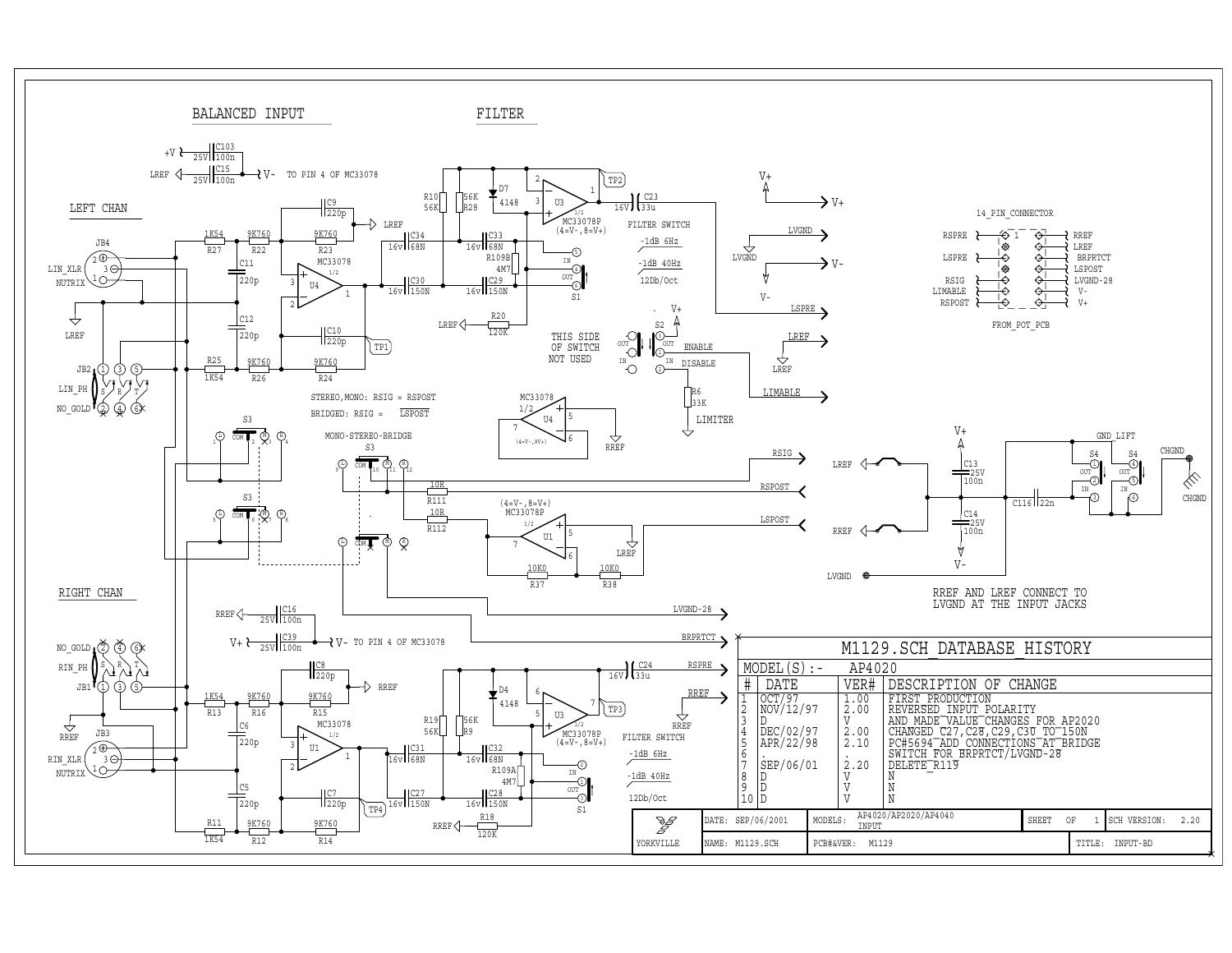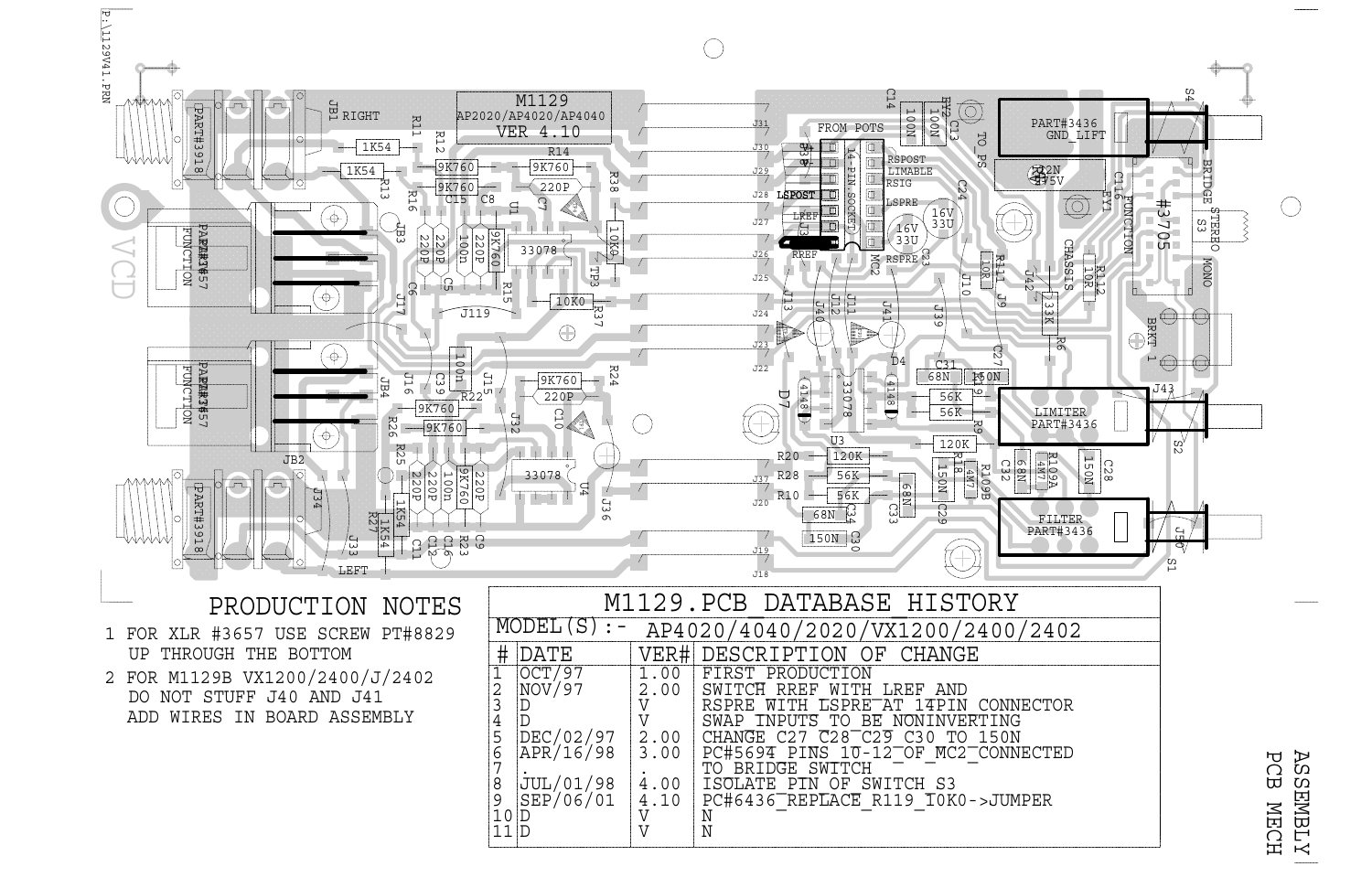

- 
- 

|                                                |                                                                           |                                                        | M1129.PCB DATABASE HISTORY                                                                                                                                                                                                                                                       |  |  |  |  |  |  |  |
|------------------------------------------------|---------------------------------------------------------------------------|--------------------------------------------------------|----------------------------------------------------------------------------------------------------------------------------------------------------------------------------------------------------------------------------------------------------------------------------------|--|--|--|--|--|--|--|
|                                                | MODEL(S)<br>AP4020/4040/2020/VX1200/2400                                  |                                                        |                                                                                                                                                                                                                                                                                  |  |  |  |  |  |  |  |
| ⋕.                                             | DATE                                                                      |                                                        | VER# DESCRIPTION OF CHANGE                                                                                                                                                                                                                                                       |  |  |  |  |  |  |  |
| 2<br>3<br>4<br>5<br>6<br>8<br>9<br>10 D<br>11D | OCT/97<br>NOV/97<br>D<br>DEC/02/97<br>APR/16/98<br>JUL/01/98<br>SEP/06/01 | 1.00<br>2.00<br>V<br>2.00<br>3.00<br>4.00<br>4.10<br>V | FIRST PRODUCTION<br>SWITCH RREF WITH LREF AND<br>RSPRE WITH LSPRETAT 14PIN CON<br>SWAP INPUTS TO BE NONINVERTING<br>CHANGE C27 C28 C29 C30 TO 1501<br>PC#5694 PINS 10-12 OF MC2 CONN<br>TO BRIDGE SWITCH<br>ISOLATE PIN OF SWITCH S3<br>PC#6436 REPLACE R119 TOKO->JUN<br>N<br>N |  |  |  |  |  |  |  |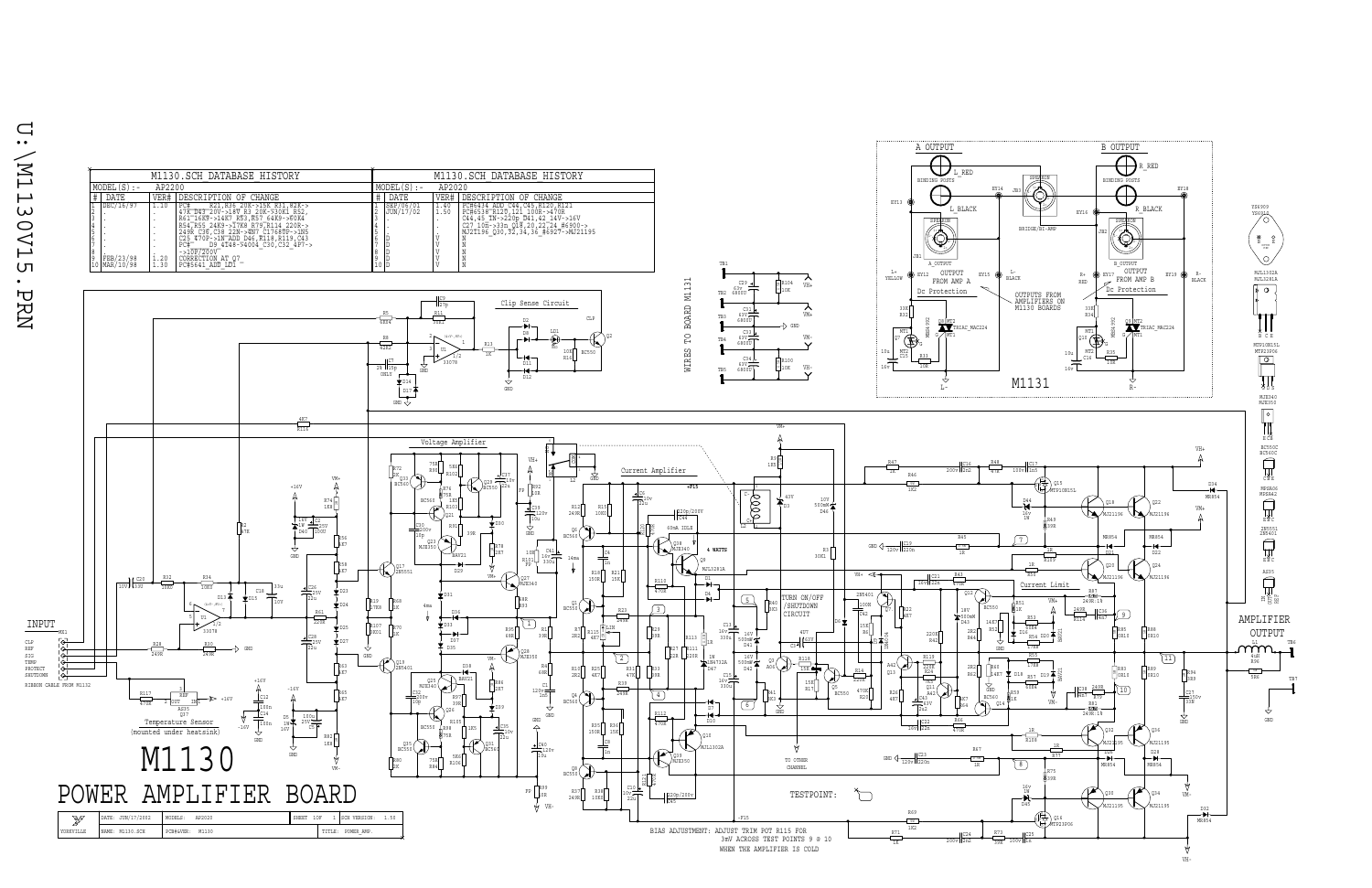

 $\ddot{\mathbf{u}}$ U:\M1130V15.PRN**LVIII3OVI**  $\sigma$  $\bullet$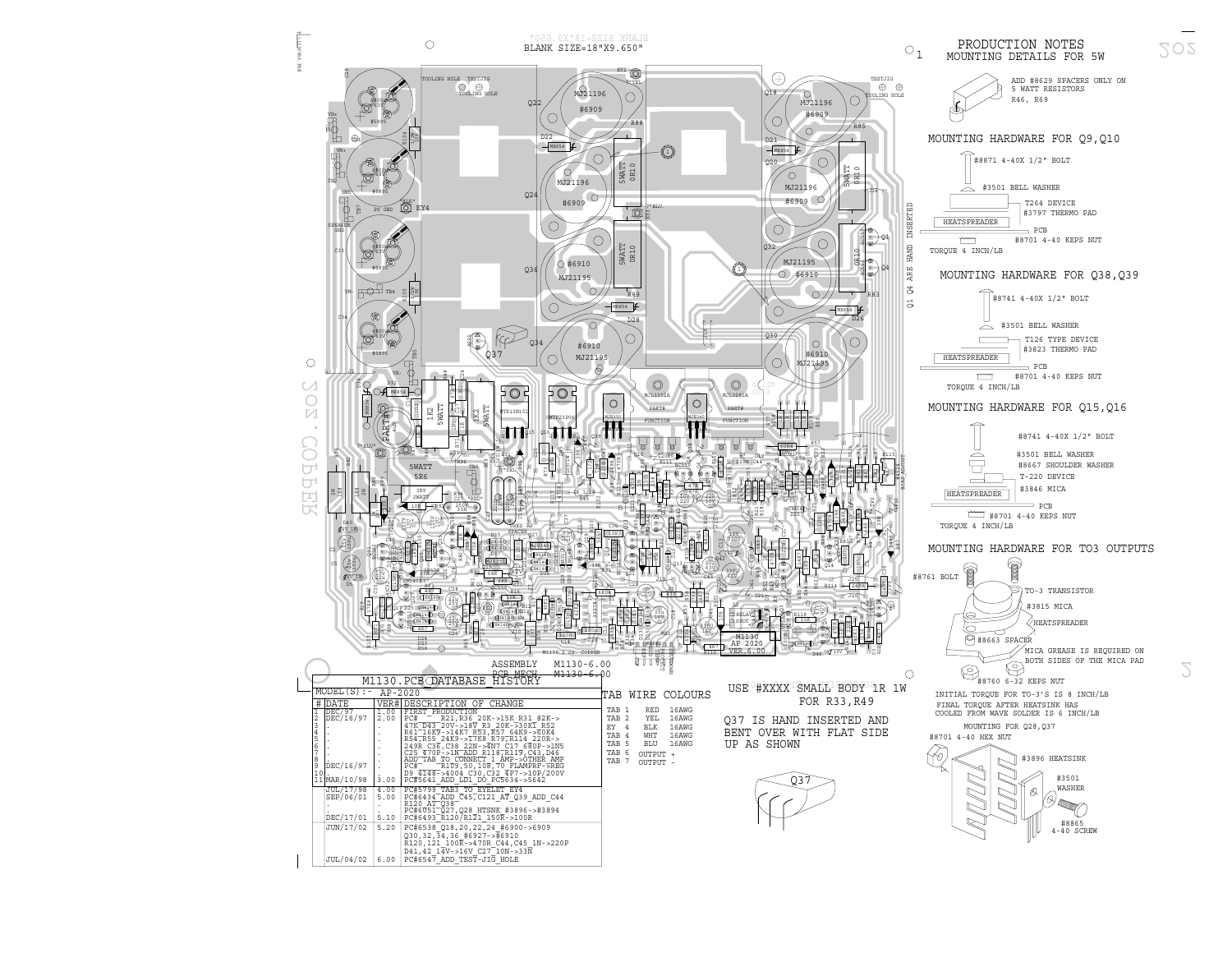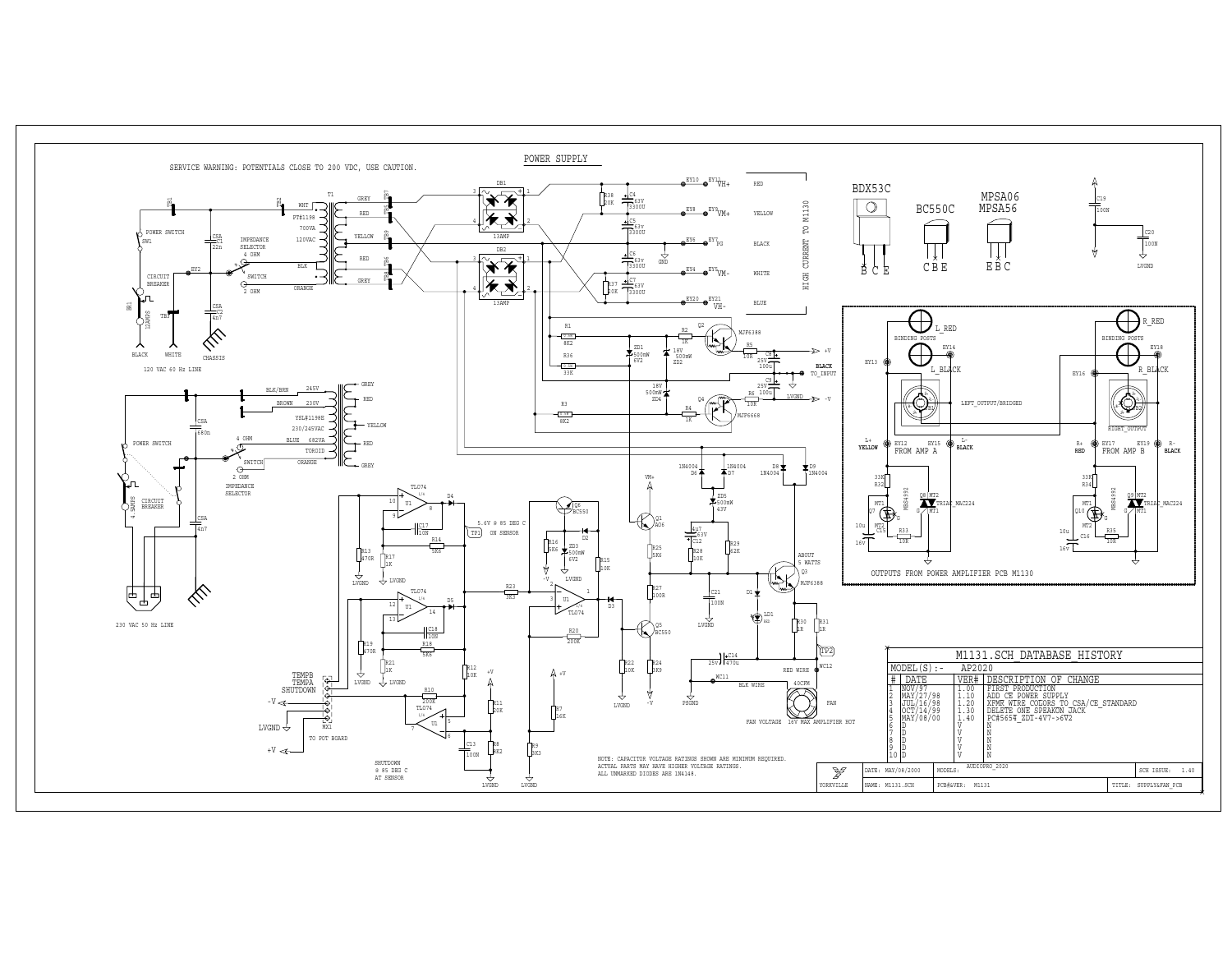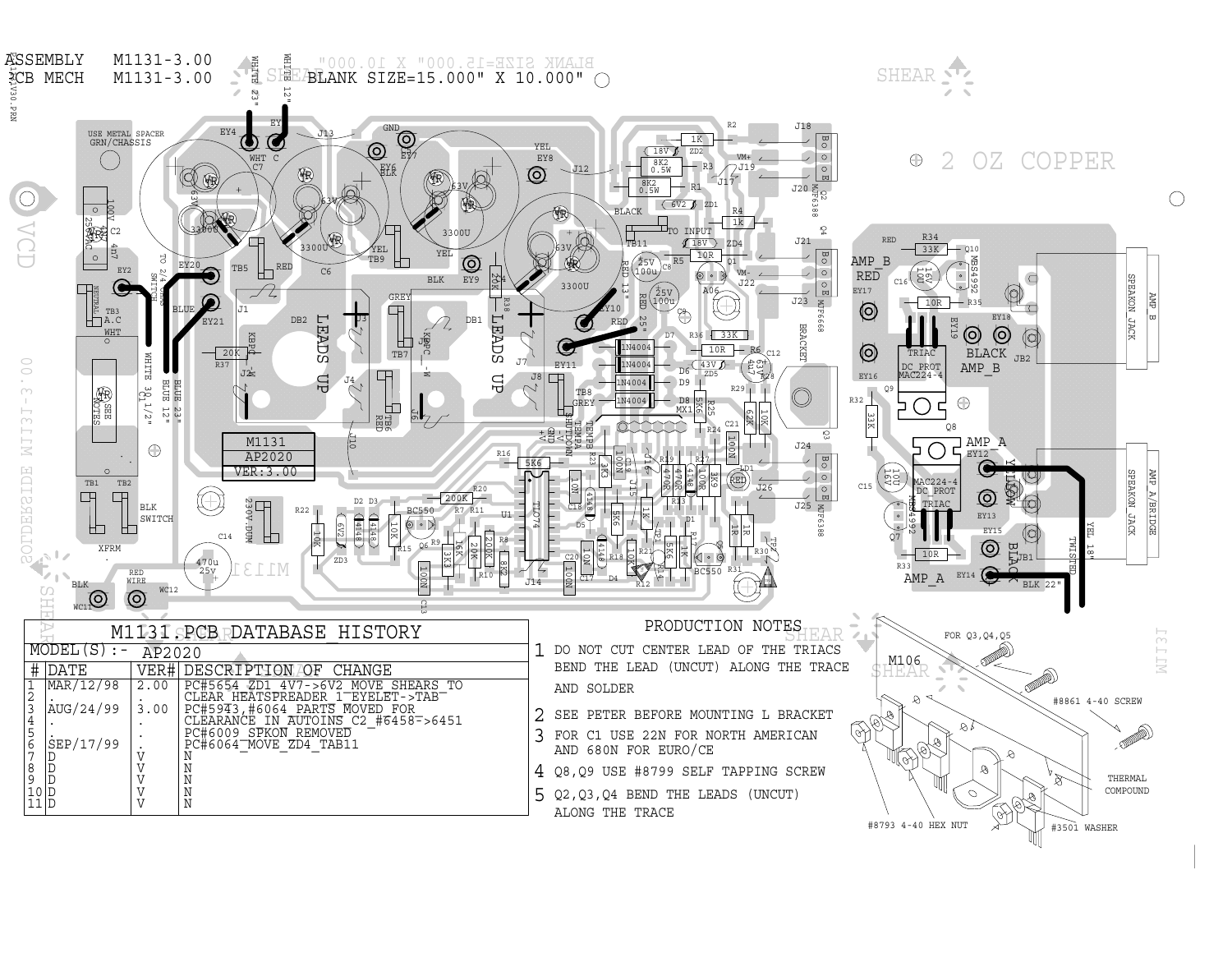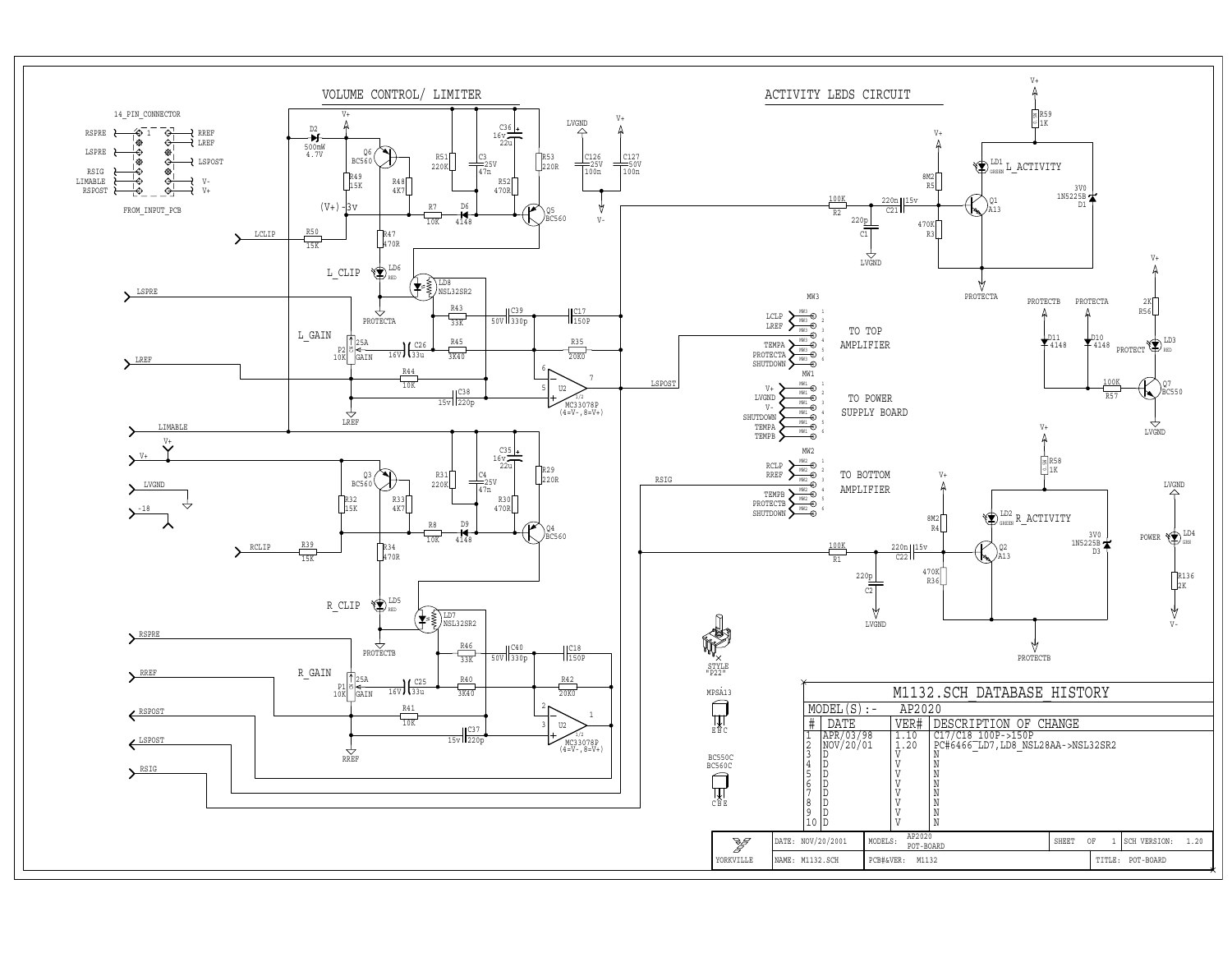